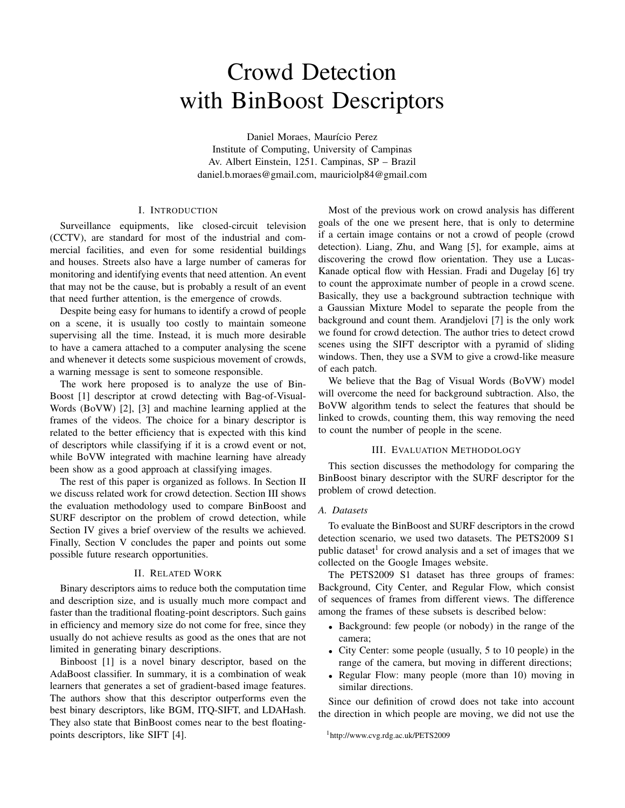# Crowd Detection with BinBoost Descriptors

Daniel Moraes, Maurício Perez Institute of Computing, University of Campinas Av. Albert Einstein, 1251. Campinas, SP – Brazil daniel.b.moraes@gmail.com, mauriciolp84@gmail.com

## I. INTRODUCTION

Surveillance equipments, like closed-circuit television (CCTV), are standard for most of the industrial and commercial facilities, and even for some residential buildings and houses. Streets also have a large number of cameras for monitoring and identifying events that need attention. An event that may not be the cause, but is probably a result of an event that need further attention, is the emergence of crowds.

Despite being easy for humans to identify a crowd of people on a scene, it is usually too costly to maintain someone supervising all the time. Instead, it is much more desirable to have a camera attached to a computer analysing the scene and whenever it detects some suspicious movement of crowds, a warning message is sent to someone responsible.

The work here proposed is to analyze the use of Bin-Boost [1] descriptor at crowd detecting with Bag-of-Visual-Words (BoVW) [2], [3] and machine learning applied at the frames of the videos. The choice for a binary descriptor is related to the better efficiency that is expected with this kind of descriptors while classifying if it is a crowd event or not, while BoVW integrated with machine learning have already been show as a good approach at classifying images.

The rest of this paper is organized as follows. In Section II we discuss related work for crowd detection. Section III shows the evaluation methodology used to compare BinBoost and SURF descriptor on the problem of crowd detection, while Section IV gives a brief overview of the results we achieved. Finally, Section V concludes the paper and points out some possible future research opportunities.

## II. RELATED WORK

Binary descriptors aims to reduce both the computation time and description size, and is usually much more compact and faster than the traditional floating-point descriptors. Such gains in efficiency and memory size do not come for free, since they usually do not achieve results as good as the ones that are not limited in generating binary descriptions.

Binboost [1] is a novel binary descriptor, based on the AdaBoost classifier. In summary, it is a combination of weak learners that generates a set of gradient-based image features. The authors show that this descriptor outperforms even the best binary descriptors, like BGM, ITQ-SIFT, and LDAHash. They also state that BinBoost comes near to the best floatingpoints descriptors, like SIFT [4].

Most of the previous work on crowd analysis has different goals of the one we present here, that is only to determine if a certain image contains or not a crowd of people (crowd detection). Liang, Zhu, and Wang [5], for example, aims at discovering the crowd flow orientation. They use a Lucas-Kanade optical flow with Hessian. Fradi and Dugelay [6] try to count the approximate number of people in a crowd scene. Basically, they use a background subtraction technique with a Gaussian Mixture Model to separate the people from the background and count them. Arandjelovi [7] is the only work we found for crowd detection. The author tries to detect crowd scenes using the SIFT descriptor with a pyramid of sliding windows. Then, they use a SVM to give a crowd-like measure of each patch.

We believe that the Bag of Visual Words (BoVW) model will overcome the need for background subtraction. Also, the BoVW algorithm tends to select the features that should be linked to crowds, counting them, this way removing the need to count the number of people in the scene.

### III. EVALUATION METHODOLOGY

This section discusses the methodology for comparing the BinBoost binary descriptor with the SURF descriptor for the problem of crowd detection.

## *A. Datasets*

To evaluate the BinBoost and SURF descriptors in the crowd detection scenario, we used two datasets. The PETS2009 S1 public dataset<sup>1</sup> for crowd analysis and a set of images that we collected on the Google Images website.

The PETS2009 S1 dataset has three groups of frames: Background, City Center, and Regular Flow, which consist of sequences of frames from different views. The difference among the frames of these subsets is described below:

- Background: few people (or nobody) in the range of the camera;
- City Center: some people (usually, 5 to 10 people) in the range of the camera, but moving in different directions;
- Regular Flow: many people (more than 10) moving in similar directions.

Since our definition of crowd does not take into account the direction in which people are moving, we did not use the

<sup>1</sup>http://www.cvg.rdg.ac.uk/PETS2009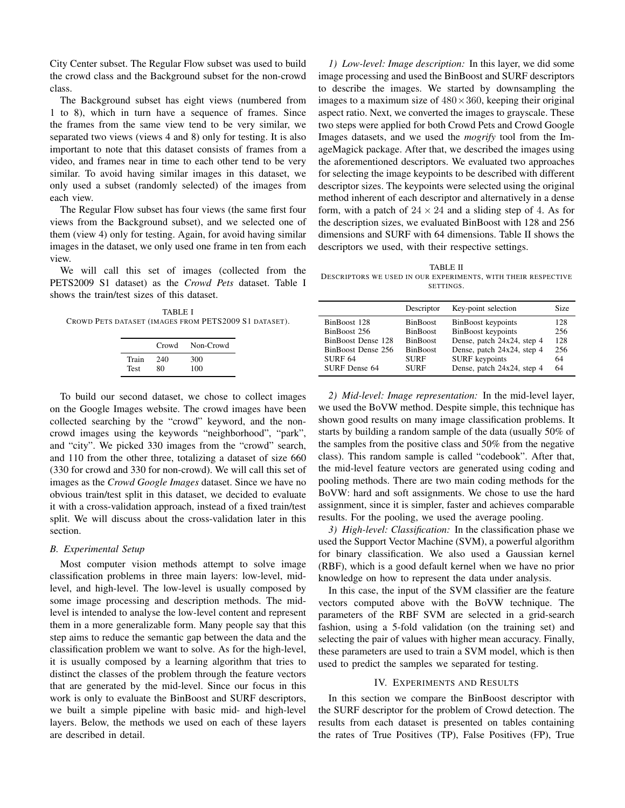City Center subset. The Regular Flow subset was used to build the crowd class and the Background subset for the non-crowd class.

The Background subset has eight views (numbered from 1 to 8), which in turn have a sequence of frames. Since the frames from the same view tend to be very similar, we separated two views (views 4 and 8) only for testing. It is also important to note that this dataset consists of frames from a video, and frames near in time to each other tend to be very similar. To avoid having similar images in this dataset, we only used a subset (randomly selected) of the images from each view.

The Regular Flow subset has four views (the same first four views from the Background subset), and we selected one of them (view 4) only for testing. Again, for avoid having similar images in the dataset, we only used one frame in ten from each view.

We will call this set of images (collected from the PETS2009 S1 dataset) as the *Crowd Pets* dataset. Table I shows the train/test sizes of this dataset.

TABLE I CROWD PETS DATASET (IMAGES FROM PETS2009 S1 DATASET).

|             | Crowd | Non-Crowd |
|-------------|-------|-----------|
| Train       | 240   | 300       |
| <b>Test</b> | 80    | 100       |

To build our second dataset, we chose to collect images on the Google Images website. The crowd images have been collected searching by the "crowd" keyword, and the noncrowd images using the keywords "neighborhood", "park", and "city". We picked 330 images from the "crowd" search, and 110 from the other three, totalizing a dataset of size 660 (330 for crowd and 330 for non-crowd). We will call this set of images as the *Crowd Google Images* dataset. Since we have no obvious train/test split in this dataset, we decided to evaluate it with a cross-validation approach, instead of a fixed train/test split. We will discuss about the cross-validation later in this section.

### *B. Experimental Setup*

Most computer vision methods attempt to solve image classification problems in three main layers: low-level, midlevel, and high-level. The low-level is usually composed by some image processing and description methods. The midlevel is intended to analyse the low-level content and represent them in a more generalizable form. Many people say that this step aims to reduce the semantic gap between the data and the classification problem we want to solve. As for the high-level, it is usually composed by a learning algorithm that tries to distinct the classes of the problem through the feature vectors that are generated by the mid-level. Since our focus in this work is only to evaluate the BinBoost and SURF descriptors, we built a simple pipeline with basic mid- and high-level layers. Below, the methods we used on each of these layers are described in detail.

*1) Low-level: Image description:* In this layer, we did some image processing and used the BinBoost and SURF descriptors to describe the images. We started by downsampling the images to a maximum size of  $480 \times 360$ , keeping their original aspect ratio. Next, we converted the images to grayscale. These two steps were applied for both Crowd Pets and Crowd Google Images datasets, and we used the *mogrify* tool from the ImageMagick package. After that, we described the images using the aforementioned descriptors. We evaluated two approaches for selecting the image keypoints to be described with different descriptor sizes. The keypoints were selected using the original method inherent of each descriptor and alternatively in a dense form, with a patch of  $24 \times 24$  and a sliding step of 4. As for the description sizes, we evaluated BinBoost with 128 and 256 dimensions and SURF with 64 dimensions. Table II shows the descriptors we used, with their respective settings.

TABLE II DESCRIPTORS WE USED IN OUR EXPERIMENTS, WITH THEIR RESPECTIVE SETTINGS.

|                                      | Descriptor                         | Key-point selection                                 | Size       |
|--------------------------------------|------------------------------------|-----------------------------------------------------|------------|
| BinBoost 128<br>BinBoost 256         | <b>BinBoost</b><br><b>BinBoost</b> | BinBoost keypoints<br><b>BinBoost</b> keypoints     | 128<br>256 |
| BinBoost Dense 128                   | <b>BinBoost</b>                    | Dense, patch 24x24, step 4                          | 128        |
| BinBoost Dense 256<br><b>SURF 64</b> | <b>BinBoost</b><br><b>SURF</b>     | Dense, patch 24x24, step 4<br><b>SURF</b> keypoints | 256<br>64  |
| SURF Dense 64                        | <b>SURF</b>                        | Dense, patch 24x24, step 4                          | 64         |

*2) Mid-level: Image representation:* In the mid-level layer, we used the BoVW method. Despite simple, this technique has shown good results on many image classification problems. It starts by building a random sample of the data (usually 50% of the samples from the positive class and 50% from the negative class). This random sample is called "codebook". After that, the mid-level feature vectors are generated using coding and pooling methods. There are two main coding methods for the BoVW: hard and soft assignments. We chose to use the hard assignment, since it is simpler, faster and achieves comparable results. For the pooling, we used the average pooling.

*3) High-level: Classification:* In the classification phase we used the Support Vector Machine (SVM), a powerful algorithm for binary classification. We also used a Gaussian kernel (RBF), which is a good default kernel when we have no prior knowledge on how to represent the data under analysis.

In this case, the input of the SVM classifier are the feature vectors computed above with the BoVW technique. The parameters of the RBF SVM are selected in a grid-search fashion, using a 5-fold validation (on the training set) and selecting the pair of values with higher mean accuracy. Finally, these parameters are used to train a SVM model, which is then used to predict the samples we separated for testing.

#### IV. EXPERIMENTS AND RESULTS

In this section we compare the BinBoost descriptor with the SURF descriptor for the problem of Crowd detection. The results from each dataset is presented on tables containing the rates of True Positives (TP), False Positives (FP), True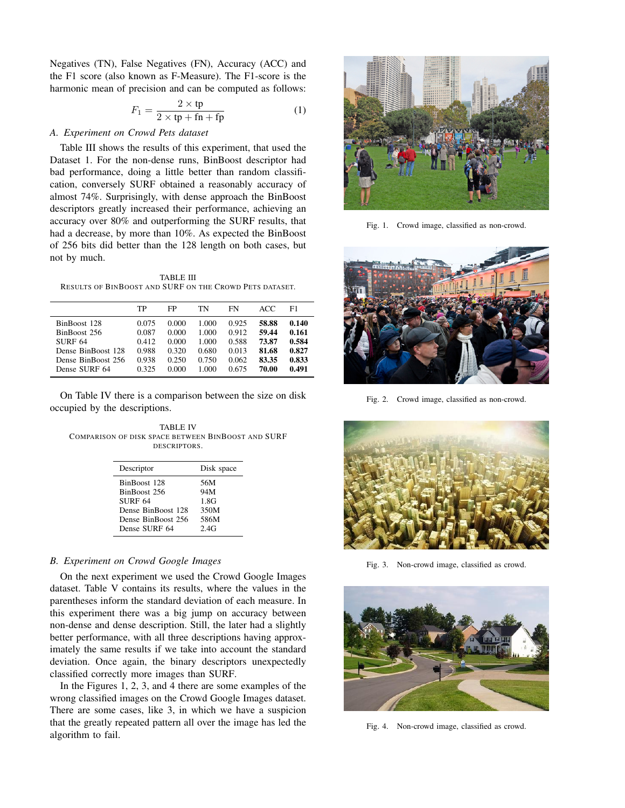Negatives (TN), False Negatives (FN), Accuracy (ACC) and the F1 score (also known as F-Measure). The F1-score is the harmonic mean of precision and can be computed as follows:

$$
F_1 = \frac{2 \times \text{tp}}{2 \times \text{tp} + \text{fn} + \text{fp}}\tag{1}
$$

## *A. Experiment on Crowd Pets dataset*

Table III shows the results of this experiment, that used the Dataset 1. For the non-dense runs, BinBoost descriptor had bad performance, doing a little better than random classification, conversely SURF obtained a reasonably accuracy of almost 74%. Surprisingly, with dense approach the BinBoost descriptors greatly increased their performance, achieving an accuracy over 80% and outperforming the SURF results, that had a decrease, by more than 10%. As expected the BinBoost of 256 bits did better than the 128 length on both cases, but not by much.

TABLE III RESULTS OF BINBOOST AND SURF ON THE CROWD PETS DATASET.

|                    | TP    | FP    | TN    | FN    | ACC   | F1    |
|--------------------|-------|-------|-------|-------|-------|-------|
| BinBoost 128       | 0.075 | 0.000 | 1.000 | 0.925 | 58.88 | 0.140 |
| BinBoost 256       | 0.087 | 0.000 | 1.000 | 0.912 | 59.44 | 0.161 |
| <b>SURF 64</b>     | 0.412 | 0.000 | 1.000 | 0.588 | 73.87 | 0.584 |
| Dense BinBoost 128 | 0.988 | 0.320 | 0.680 | 0.013 | 81.68 | 0.827 |
| Dense BinBoost 256 | 0.938 | 0.250 | 0.750 | 0.062 | 83.35 | 0.833 |
| Dense SURF 64      | 0.325 | 0.000 | 1.000 | 0.675 | 70.00 | 0.491 |

On Table IV there is a comparison between the size on disk occupied by the descriptions.

TABLE IV COMPARISON OF DISK SPACE BETWEEN BINBOOST AND SURF DESCRIPTORS.

| Descriptor         | Disk space |  |
|--------------------|------------|--|
| BinBoost 128       | 56M        |  |
| BinBoost 256       | 94M        |  |
| <b>SURF 64</b>     | 1.8G       |  |
| Dense BinBoost 128 | 350M       |  |
| Dense BinBoost 256 | 586M       |  |
| Dense SURF 64      | 2.4G       |  |

### *B. Experiment on Crowd Google Images*

On the next experiment we used the Crowd Google Images dataset. Table V contains its results, where the values in the parentheses inform the standard deviation of each measure. In this experiment there was a big jump on accuracy between non-dense and dense description. Still, the later had a slightly better performance, with all three descriptions having approximately the same results if we take into account the standard deviation. Once again, the binary descriptors unexpectedly classified correctly more images than SURF.

In the Figures 1, 2, 3, and 4 there are some examples of the wrong classified images on the Crowd Google Images dataset. There are some cases, like 3, in which we have a suspicion that the greatly repeated pattern all over the image has led the algorithm to fail.



Fig. 1. Crowd image, classified as non-crowd.



Fig. 2. Crowd image, classified as non-crowd.



Fig. 3. Non-crowd image, classified as crowd.



Fig. 4. Non-crowd image, classified as crowd.